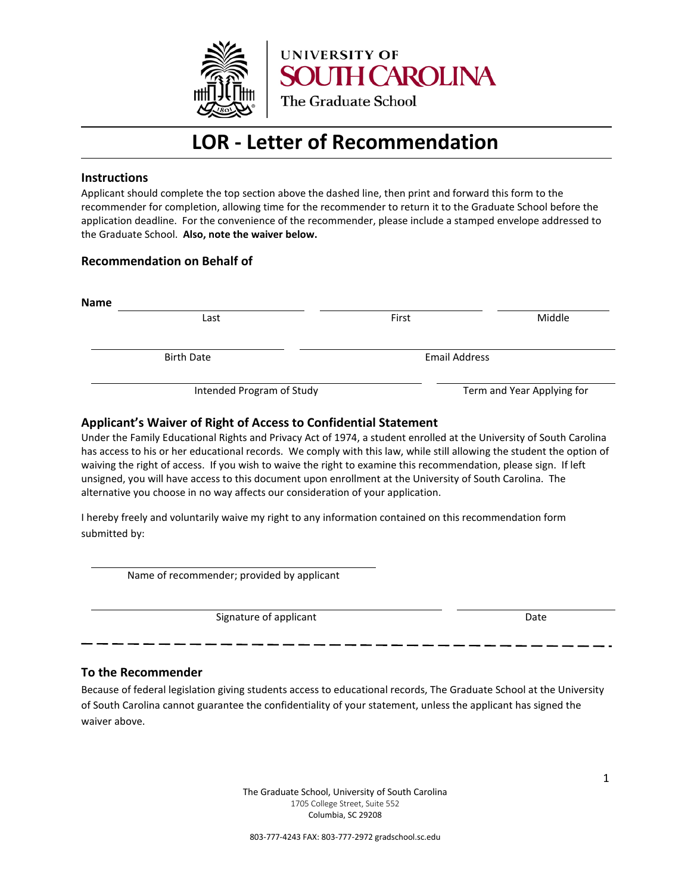

## **LOR - Letter of Recommendation**

### **Instructions**

Applicant should complete the top section above the dashed line, then print and forward this form to the recommender for completion, allowing time for the recommender to return it to the Graduate School before the application deadline. For the convenience of the recommender, please include a stamped envelope addressed to the Graduate School. **Also, note the waiver below.**

### **Recommendation on Behalf of**

| Last                      | First                | Middle                     |
|---------------------------|----------------------|----------------------------|
| <b>Birth Date</b>         | <b>Email Address</b> |                            |
| Intended Program of Study |                      | Term and Year Applying for |

## **Applicant's Waiver of Right of Access to Confidential Statement**

Under the Family Educational Rights and Privacy Act of 1974, a student enrolled at the University of South Carolina has access to his or her educational records. We comply with this law, while still allowing the student the option of waiving the right of access. If you wish to waive the right to examine this recommendation, please sign. If left unsigned, you will have access to this document upon enrollment at the University of South Carolina. The alternative you choose in no way affects our consideration of your application.

I hereby freely and voluntarily waive my right to any information contained on this recommendation form submitted by:

Name of recommender; provided by applicant

Signature of applicant Date Date Date

#### **To the Recommender**

Because of federal legislation giving students access to educational records, The Graduate School at the University of South Carolina cannot guarantee the confidentiality of your statement, unless the applicant has signed the waiver above.

> The Graduate School, University of South Carolina 1705 College Street, Suite 552 Columbia, SC 29208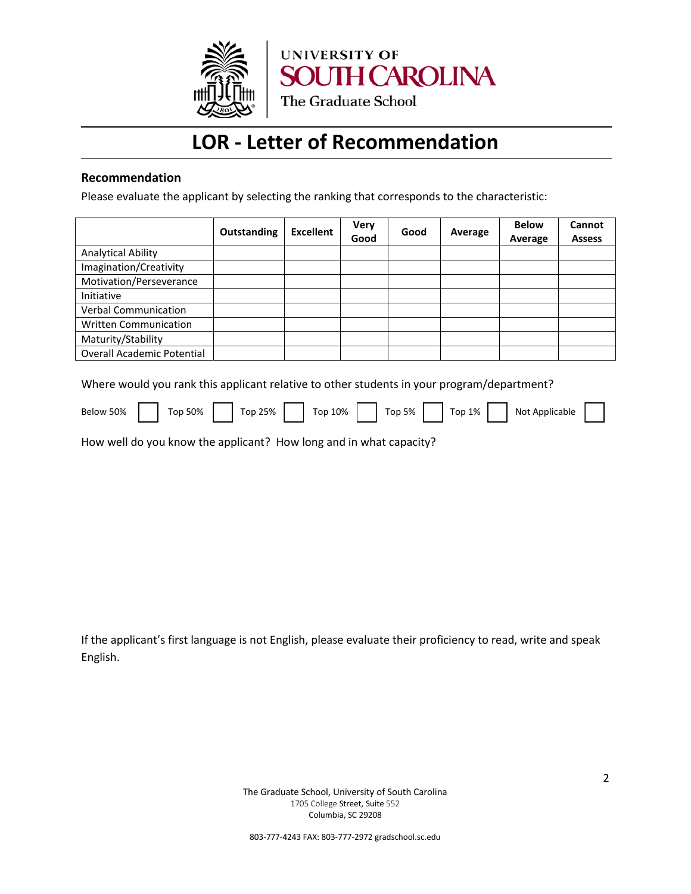

## **LOR - Letter of Recommendation**

## **Recommendation**

Please evaluate the applicant by selecting the ranking that corresponds to the characteristic:

|                                   | Outstanding | <b>Excellent</b> | <b>Very</b><br>Good | Good | Average | <b>Below</b><br>Average | Cannot<br><b>Assess</b> |
|-----------------------------------|-------------|------------------|---------------------|------|---------|-------------------------|-------------------------|
| <b>Analytical Ability</b>         |             |                  |                     |      |         |                         |                         |
| Imagination/Creativity            |             |                  |                     |      |         |                         |                         |
| Motivation/Perseverance           |             |                  |                     |      |         |                         |                         |
| Initiative                        |             |                  |                     |      |         |                         |                         |
| <b>Verbal Communication</b>       |             |                  |                     |      |         |                         |                         |
| <b>Written Communication</b>      |             |                  |                     |      |         |                         |                         |
| Maturity/Stability                |             |                  |                     |      |         |                         |                         |
| <b>Overall Academic Potential</b> |             |                  |                     |      |         |                         |                         |

Where would you rank this applicant relative to other students in your program/department?

| 50%<br>Below |  | 50%<br>on" |  | 25%<br>on |  | 10%<br>$-$<br>'or |  | 5%<br>$\overline{\phantom{0}}$<br>op" |  | 1%<br>$-$<br>op" |  | Applicable<br>Not |  |  |
|--------------|--|------------|--|-----------|--|-------------------|--|---------------------------------------|--|------------------|--|-------------------|--|--|
|--------------|--|------------|--|-----------|--|-------------------|--|---------------------------------------|--|------------------|--|-------------------|--|--|

How well do you know the applicant? How long and in what capacity?

If the applicant's first language is not English, please evaluate their proficiency to read, write and speak English.

> The Graduate School, University of South Carolina 1705 College Street, Suite 552 Columbia, SC 29208

803-777-4243 FAX: 803-777-2972 gradschool.sc.edu